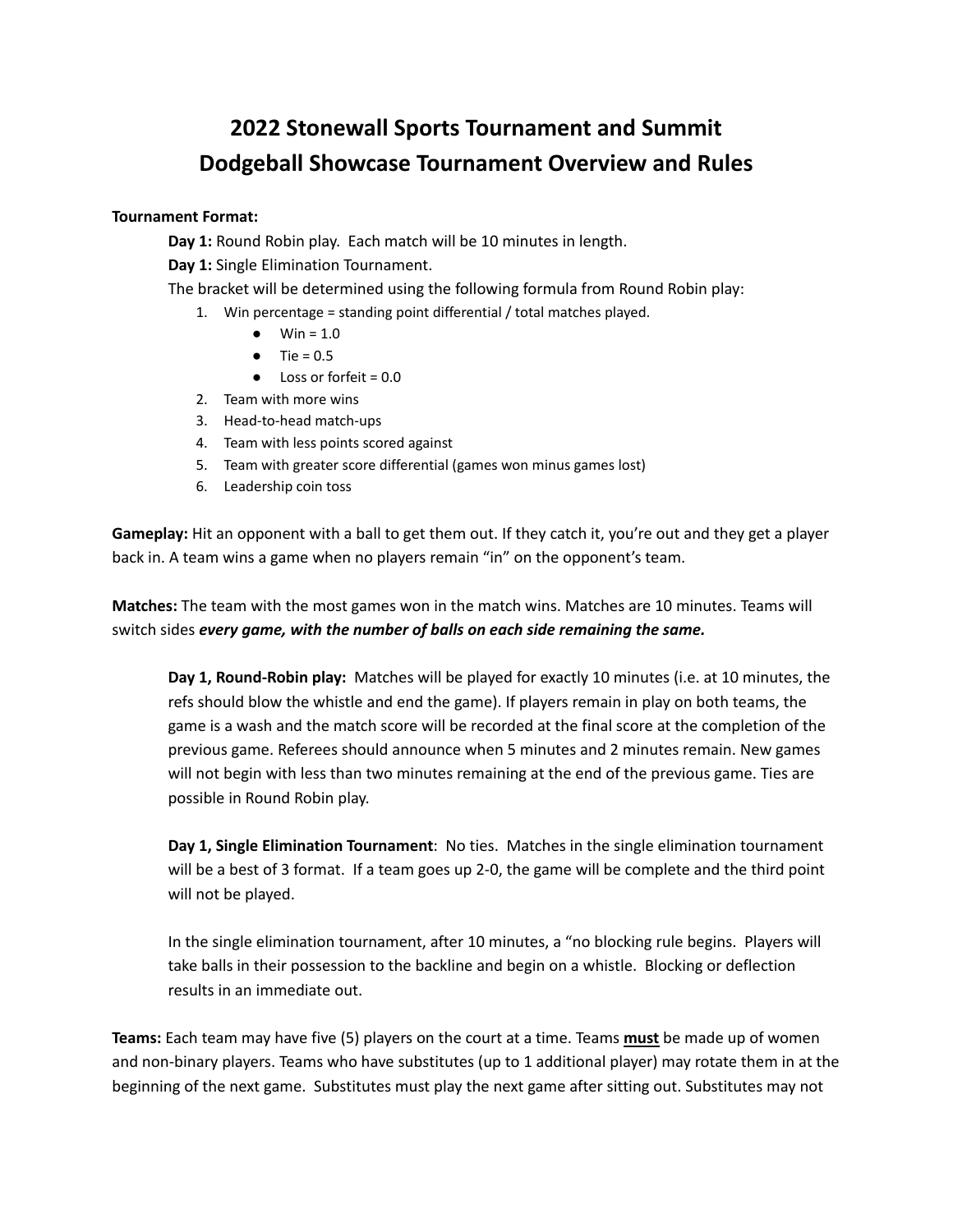## **2022 Stonewall Sports Tournament and Summit Dodgeball Showcase Tournament Overview and Rules**

## **Tournament Format:**

**Day 1:** Round Robin play. Each match will be 10 minutes in length.

**Day 1:** Single Elimination Tournament.

The bracket will be determined using the following formula from Round Robin play:

- 1. Win percentage = standing point differential / total matches played.
	- $\bullet$  Win = 1.0
	- $\bullet$  Tie = 0.5
	- Loss or forfeit = 0.0
- 2. Team with more wins
- 3. Head-to-head match-ups
- 4. Team with less points scored against
- 5. Team with greater score differential (games won minus games lost)
- 6. Leadership coin toss

**Gameplay:** Hit an opponent with a ball to get them out. If they catch it, you're out and they get a player back in. A team wins a game when no players remain "in" on the opponent's team.

**Matches:** The team with the most games won in the match wins. Matches are 10 minutes. Teams will switch sides *every game, with the number of balls on each side remaining the same.*

**Day 1, Round-Robin play:** Matches will be played for exactly 10 minutes (i.e. at 10 minutes, the refs should blow the whistle and end the game). If players remain in play on both teams, the game is a wash and the match score will be recorded at the final score at the completion of the previous game. Referees should announce when 5 minutes and 2 minutes remain. New games will not begin with less than two minutes remaining at the end of the previous game. Ties are possible in Round Robin play.

**Day 1, Single Elimination Tournament**: No ties. Matches in the single elimination tournament will be a best of 3 format. If a team goes up 2-0, the game will be complete and the third point will not be played.

In the single elimination tournament, after 10 minutes, a "no blocking rule begins. Players will take balls in their possession to the backline and begin on a whistle. Blocking or deflection results in an immediate out.

**Teams:** Each team may have five (5) players on the court at a time. Teams **must** be made up of women and non-binary players. Teams who have substitutes (up to 1 additional player) may rotate them in at the beginning of the next game. Substitutes must play the next game after sitting out. Substitutes may not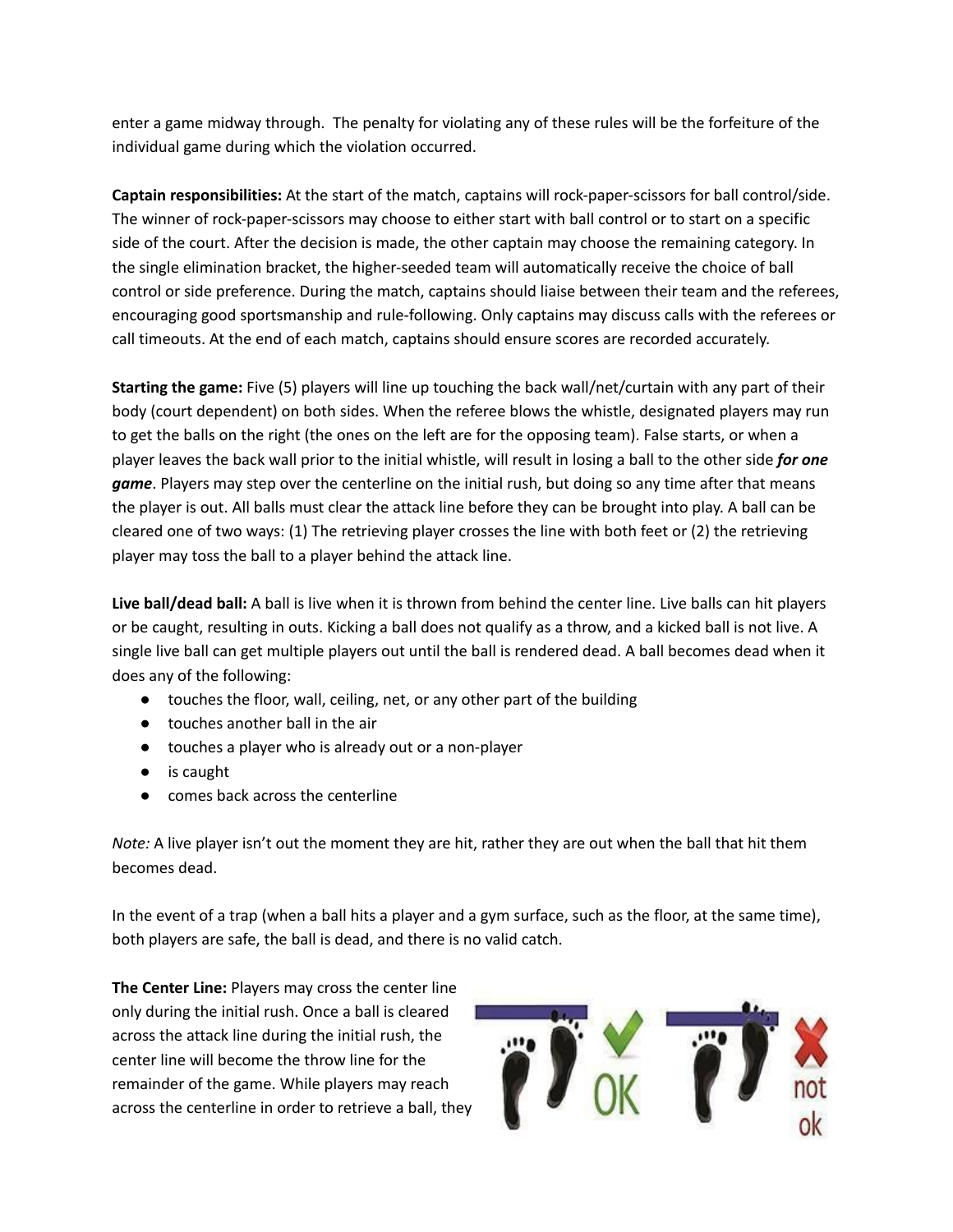enter a game midway through. The penalty for violating any of these rules will be the forfeiture of the individual game during which the violation occurred.

**Captain responsibilities:** At the start of the match, captains will rock-paper-scissors for ball control/side. The winner of rock-paper-scissors may choose to either start with ball control or to start on a specific side of the court. After the decision is made, the other captain may choose the remaining category. In the single elimination bracket, the higher-seeded team will automatically receive the choice of ball control or side preference. During the match, captains should liaise between their team and the referees, encouraging good sportsmanship and rule-following. Only captains may discuss calls with the referees or call timeouts. At the end of each match, captains should ensure scores are recorded accurately.

**Starting the game:** Five (5) players will line up touching the back wall/net/curtain with any part of their body (court dependent) on both sides. When the referee blows the whistle, designated players may run to get the balls on the right (the ones on the left are for the opposing team). False starts, or when a player leaves the back wall prior to the initial whistle, will result in losing a ball to the other side *for one game*. Players may step over the centerline on the initial rush, but doing so any time after that means the player is out. All balls must clear the attack line before they can be brought into play. A ball can be cleared one of two ways: (1) The retrieving player crosses the line with both feet or (2) the retrieving player may toss the ball to a player behind the attack line.

**Live ball/dead ball:** A ball is live when it is thrown from behind the center line. Live balls can hit players or be caught, resulting in outs. Kicking a ball does not qualify as a throw, and a kicked ball is not live. A single live ball can get multiple players out until the ball is rendered dead. A ball becomes dead when it does any of the following:

- touches the floor, wall, ceiling, net, or any other part of the building
- touches another ball in the air
- touches a player who is already out or a non-player
- is caught
- comes back across the centerline

*Note:* A live player isn't out the moment they are hit, rather they are out when the ball that hit them becomes dead.

In the event of a trap (when a ball hits a player and a gym surface, such as the floor, at the same time), both players are safe, the ball is dead, and there is no valid catch.

**The Center Line:** Players may cross the center line only during the initial rush. Once a ball is cleared across the attack line during the initial rush, the center line will become the throw line for the remainder of the game. While players may reach across the centerline in order to retrieve a ball, they

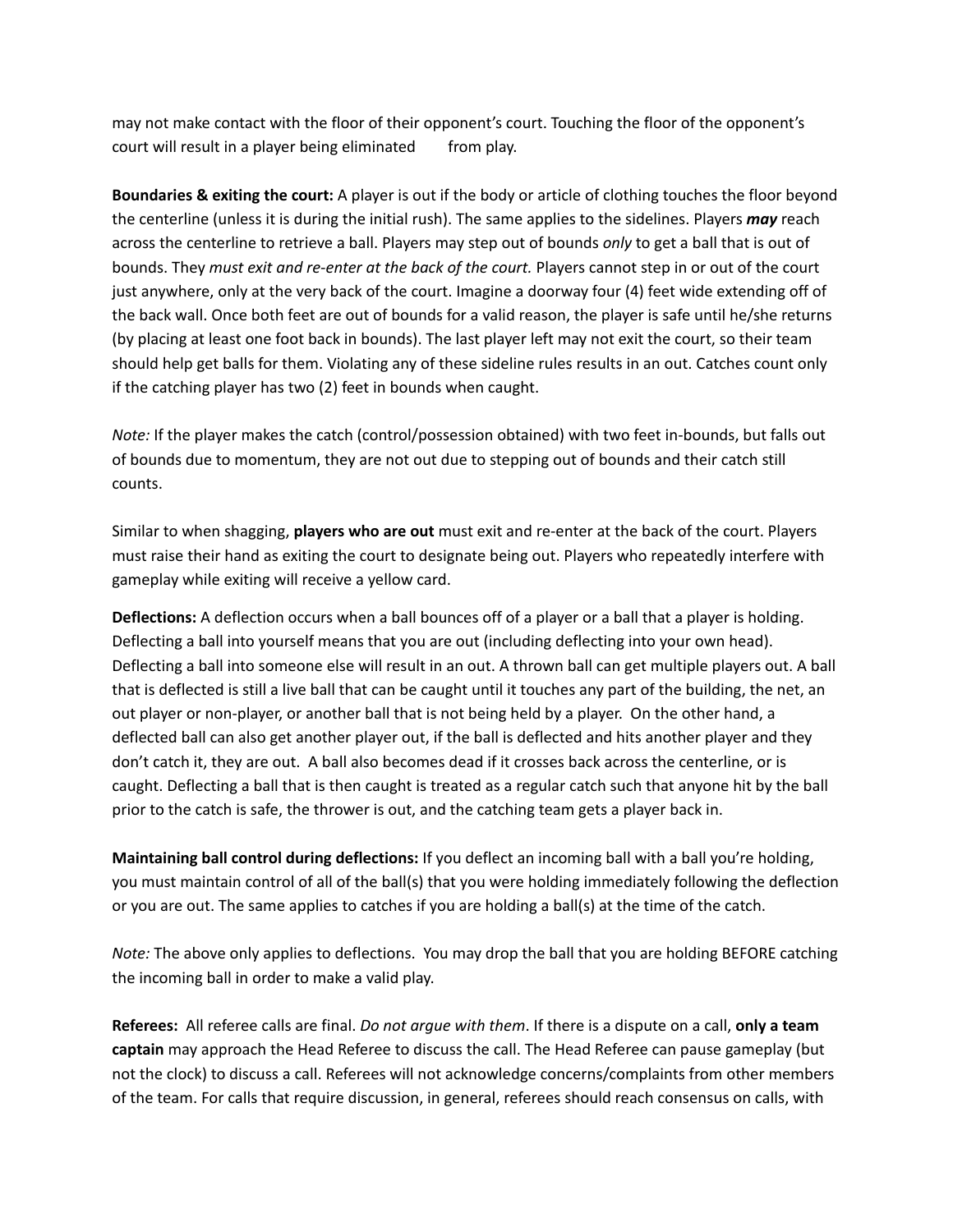may not make contact with the floor of their opponent's court. Touching the floor of the opponent's court will result in a player being eliminated from play.

**Boundaries & exiting the court:** A player is out if the body or article of clothing touches the floor beyond the centerline (unless it is during the initial rush). The same applies to the sidelines. Players *may* reach across the centerline to retrieve a ball. Players may step out of bounds *only* to get a ball that is out of bounds. They *must exit and re-enter at the back of the court.* Players cannot step in or out of the court just anywhere, only at the very back of the court. Imagine a doorway four (4) feet wide extending off of the back wall. Once both feet are out of bounds for a valid reason, the player is safe until he/she returns (by placing at least one foot back in bounds). The last player left may not exit the court, so their team should help get balls for them. Violating any of these sideline rules results in an out. Catches count only if the catching player has two (2) feet in bounds when caught.

*Note:* If the player makes the catch (control/possession obtained) with two feet in-bounds, but falls out of bounds due to momentum, they are not out due to stepping out of bounds and their catch still counts.

Similar to when shagging, **players who are out** must exit and re-enter at the back of the court. Players must raise their hand as exiting the court to designate being out. Players who repeatedly interfere with gameplay while exiting will receive a yellow card.

**Deflections:** A deflection occurs when a ball bounces off of a player or a ball that a player is holding. Deflecting a ball into yourself means that you are out (including deflecting into your own head). Deflecting a ball into someone else will result in an out. A thrown ball can get multiple players out. A ball that is deflected is still a live ball that can be caught until it touches any part of the building, the net, an out player or non-player, or another ball that is not being held by a player. On the other hand, a deflected ball can also get another player out, if the ball is deflected and hits another player and they don't catch it, they are out. A ball also becomes dead if it crosses back across the centerline, or is caught. Deflecting a ball that is then caught is treated as a regular catch such that anyone hit by the ball prior to the catch is safe, the thrower is out, and the catching team gets a player back in.

**Maintaining ball control during deflections:** If you deflect an incoming ball with a ball you're holding, you must maintain control of all of the ball(s) that you were holding immediately following the deflection or you are out. The same applies to catches if you are holding a ball(s) at the time of the catch.

*Note:* The above only applies to deflections. You may drop the ball that you are holding BEFORE catching the incoming ball in order to make a valid play.

**Referees:** All referee calls are final. *Do not argue with them*. If there is a dispute on a call, **only a team captain** may approach the Head Referee to discuss the call. The Head Referee can pause gameplay (but not the clock) to discuss a call. Referees will not acknowledge concerns/complaints from other members of the team. For calls that require discussion, in general, referees should reach consensus on calls, with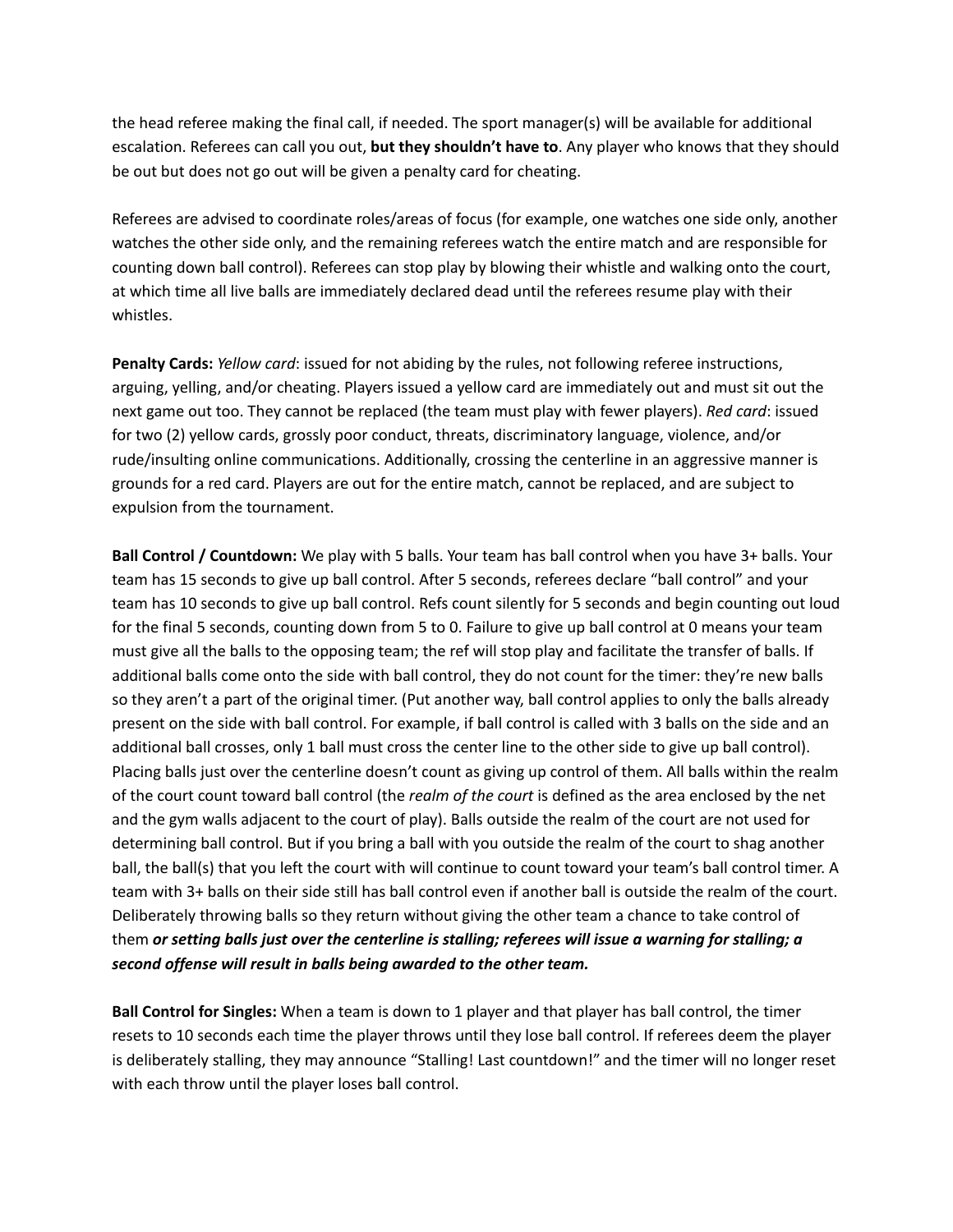the head referee making the final call, if needed. The sport manager(s) will be available for additional escalation. Referees can call you out, **but they shouldn't have to**. Any player who knows that they should be out but does not go out will be given a penalty card for cheating.

Referees are advised to coordinate roles/areas of focus (for example, one watches one side only, another watches the other side only, and the remaining referees watch the entire match and are responsible for counting down ball control). Referees can stop play by blowing their whistle and walking onto the court, at which time all live balls are immediately declared dead until the referees resume play with their whistles.

**Penalty Cards:** *Yellow card*: issued for not abiding by the rules, not following referee instructions, arguing, yelling, and/or cheating. Players issued a yellow card are immediately out and must sit out the next game out too. They cannot be replaced (the team must play with fewer players). *Red card*: issued for two (2) yellow cards, grossly poor conduct, threats, discriminatory language, violence, and/or rude/insulting online communications. Additionally, crossing the centerline in an aggressive manner is grounds for a red card. Players are out for the entire match, cannot be replaced, and are subject to expulsion from the tournament.

**Ball Control / Countdown:** We play with 5 balls. Your team has ball control when you have 3+ balls. Your team has 15 seconds to give up ball control. After 5 seconds, referees declare "ball control" and your team has 10 seconds to give up ball control. Refs count silently for 5 seconds and begin counting out loud for the final 5 seconds, counting down from 5 to 0. Failure to give up ball control at 0 means your team must give all the balls to the opposing team; the ref will stop play and facilitate the transfer of balls. If additional balls come onto the side with ball control, they do not count for the timer: they're new balls so they aren't a part of the original timer. (Put another way, ball control applies to only the balls already present on the side with ball control. For example, if ball control is called with 3 balls on the side and an additional ball crosses, only 1 ball must cross the center line to the other side to give up ball control). Placing balls just over the centerline doesn't count as giving up control of them. All balls within the realm of the court count toward ball control (the *realm of the court* is defined as the area enclosed by the net and the gym walls adjacent to the court of play). Balls outside the realm of the court are not used for determining ball control. But if you bring a ball with you outside the realm of the court to shag another ball, the ball(s) that you left the court with will continue to count toward your team's ball control timer. A team with 3+ balls on their side still has ball control even if another ball is outside the realm of the court. Deliberately throwing balls so they return without giving the other team a chance to take control of them *or setting balls just over the centerline is stalling; referees will issue a warning for stalling; a second offense will result in balls being awarded to the other team.*

**Ball Control for Singles:** When a team is down to 1 player and that player has ball control, the timer resets to 10 seconds each time the player throws until they lose ball control. If referees deem the player is deliberately stalling, they may announce "Stalling! Last countdown!" and the timer will no longer reset with each throw until the player loses ball control.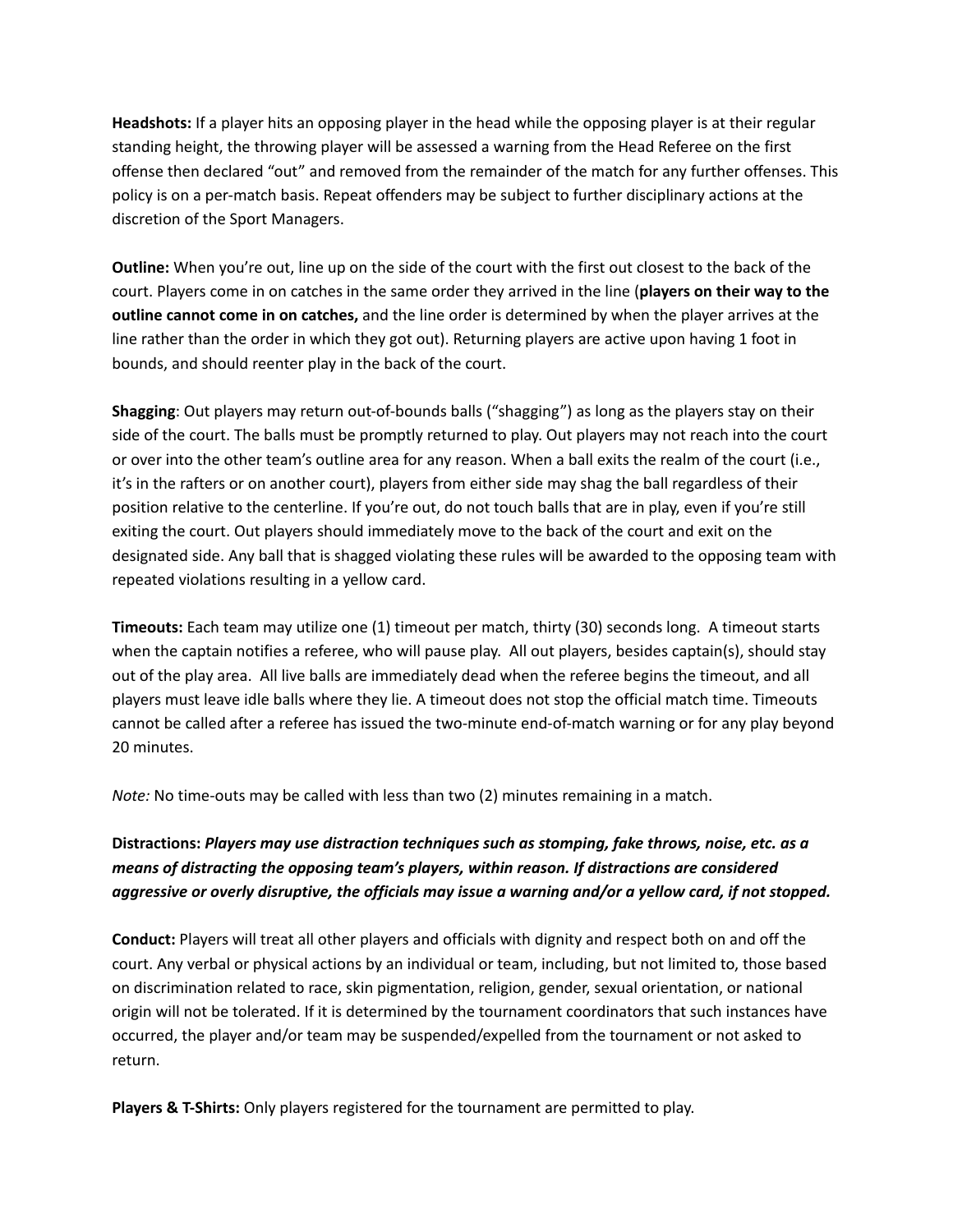**Headshots:** If a player hits an opposing player in the head while the opposing player is at their regular standing height, the throwing player will be assessed a warning from the Head Referee on the first offense then declared "out" and removed from the remainder of the match for any further offenses. This policy is on a per-match basis. Repeat offenders may be subject to further disciplinary actions at the discretion of the Sport Managers.

**Outline:** When you're out, line up on the side of the court with the first out closest to the back of the court. Players come in on catches in the same order they arrived in the line (**players on their way to the outline cannot come in on catches,** and the line order is determined by when the player arrives at the line rather than the order in which they got out). Returning players are active upon having 1 foot in bounds, and should reenter play in the back of the court.

**Shagging**: Out players may return out-of-bounds balls ("shagging") as long as the players stay on their side of the court. The balls must be promptly returned to play. Out players may not reach into the court or over into the other team's outline area for any reason. When a ball exits the realm of the court (i.e., it's in the rafters or on another court), players from either side may shag the ball regardless of their position relative to the centerline. If you're out, do not touch balls that are in play, even if you're still exiting the court. Out players should immediately move to the back of the court and exit on the designated side. Any ball that is shagged violating these rules will be awarded to the opposing team with repeated violations resulting in a yellow card.

**Timeouts:** Each team may utilize one (1) timeout per match, thirty (30) seconds long. A timeout starts when the captain notifies a referee, who will pause play. All out players, besides captain(s), should stay out of the play area. All live balls are immediately dead when the referee begins the timeout, and all players must leave idle balls where they lie. A timeout does not stop the official match time. Timeouts cannot be called after a referee has issued the two-minute end-of-match warning or for any play beyond 20 minutes.

*Note:* No time-outs may be called with less than two (2) minutes remaining in a match.

## **Distractions:** *Players may use distraction techniques such as stomping, fake throws, noise, etc. as a means of distracting the opposing team's players, within reason. If distractions are considered aggressive or overly disruptive, the officials may issue a warning and/or a yellow card, if not stopped.*

**Conduct:** Players will treat all other players and officials with dignity and respect both on and off the court. Any verbal or physical actions by an individual or team, including, but not limited to, those based on discrimination related to race, skin pigmentation, religion, gender, sexual orientation, or national origin will not be tolerated. If it is determined by the tournament coordinators that such instances have occurred, the player and/or team may be suspended/expelled from the tournament or not asked to return.

**Players & T-Shirts:** Only players registered for the tournament are permitted to play.